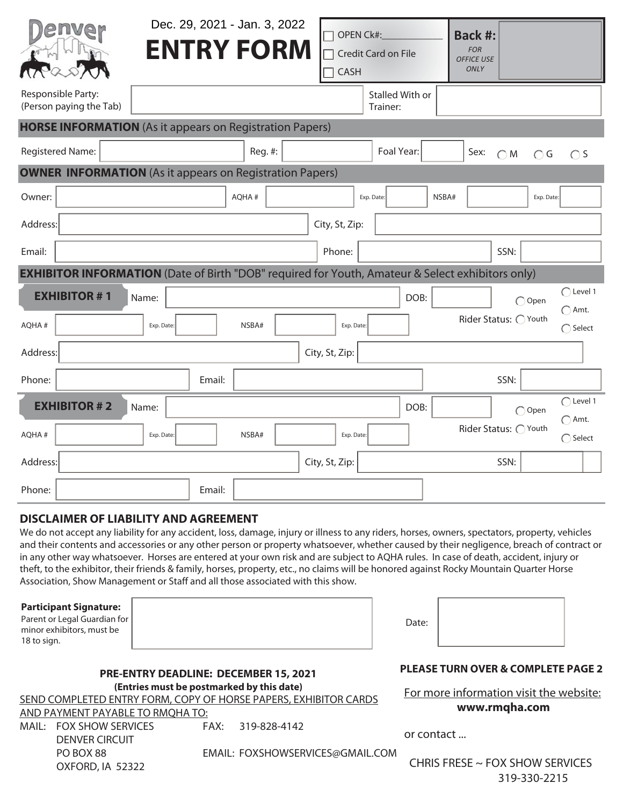|                                                                                                         | Dec. 29, 2021 - Jan. 3, 2022<br><b>ENTRY FORM</b> |         | <b>OPEN Ck#:</b><br>CASH | Credit Card on File                | <b>Back #:</b><br><b>FOR</b><br><b>OFFICE USE</b><br>ONLY |                             |                                     |  |  |  |
|---------------------------------------------------------------------------------------------------------|---------------------------------------------------|---------|--------------------------|------------------------------------|-----------------------------------------------------------|-----------------------------|-------------------------------------|--|--|--|
| Responsible Party:<br>(Person paying the Tab)                                                           |                                                   |         |                          | <b>Stalled With or</b><br>Trainer: |                                                           |                             |                                     |  |  |  |
| <b>HORSE INFORMATION</b> (As it appears on Registration Papers)                                         |                                                   |         |                          |                                    |                                                           |                             |                                     |  |  |  |
| <b>Registered Name:</b>                                                                                 |                                                   | Reg. #: |                          | Foal Year:                         | Sex:                                                      | $\bigcirc$ G<br>$\bigcap M$ | $\bigcap$ S                         |  |  |  |
| <b>OWNER INFORMATION</b> (As it appears on Registration Papers)                                         |                                                   |         |                          |                                    |                                                           |                             |                                     |  |  |  |
| Owner:                                                                                                  |                                                   | AQHA#   |                          | Exp. Date:                         | NSBA#                                                     | Exp. Date:                  |                                     |  |  |  |
| Address:                                                                                                |                                                   |         | City, St, Zip:           |                                    |                                                           |                             |                                     |  |  |  |
| Email:                                                                                                  |                                                   |         | Phone:                   |                                    |                                                           | SSN:                        |                                     |  |  |  |
| <b>EXHIBITOR INFORMATION</b> (Date of Birth "DOB" required for Youth, Amateur & Select exhibitors only) |                                                   |         |                          |                                    |                                                           |                             |                                     |  |  |  |
| <b>EXHIBITOR #1</b>                                                                                     | Name:                                             |         |                          | DOB:                               |                                                           | $\bigcap$ Open              | $\bigcap$ Level 1                   |  |  |  |
| AQHA#                                                                                                   | Exp. Date:                                        | NSBA#   | Exp. Date:               |                                    |                                                           | Rider Status: O Youth       | $\bigcap$ Amt.<br>$\bigcap$ Select  |  |  |  |
| Address:                                                                                                |                                                   |         | City, St, Zip:           |                                    |                                                           |                             |                                     |  |  |  |
| Phone:                                                                                                  | Email:                                            |         |                          |                                    |                                                           | SSN:                        |                                     |  |  |  |
| <b>EXHIBITOR #2</b>                                                                                     | Name:                                             |         |                          | DOB:                               |                                                           | $\bigcap$ Open              | $\bigcap$ Level 1<br>$\bigcap$ Amt. |  |  |  |
| AQHA#                                                                                                   | Exp. Date:                                        | NSBA#   | Exp. Date:               |                                    |                                                           | Rider Status: O Youth       | $\bigcap$ Select                    |  |  |  |
| Address:                                                                                                |                                                   |         | City, St, Zip:           |                                    |                                                           | SSN:                        |                                     |  |  |  |
| Phone:                                                                                                  | Email:                                            |         |                          |                                    |                                                           |                             |                                     |  |  |  |

## **DISCLAIMER OF LIABILITY AND AGREEMENT**

We do not accept any liability for any accident, loss, damage, injury or illness to any riders, horses, owners, spectators, property, vehicles and their contents and accessories or any other person or property whatsoever, whether caused by their negligence, breach of contract or in any other way whatsoever. Horses are entered at your own risk and are subject to AQHA rules. In case of death, accident, injury or theft, to the exhibitor, their friends & family, horses, property, etc., no claims will be honored against Rocky Mountain Quarter Horse Association, Show Management or Staff and all those associated with this show.

## **Participant Signature:**

Parent or Legal Guardian for minor exhibitors, must be 18 to sign.

## **PRE-ENTRY DEADLINE: DECEMBER 15, 2021 (Entries must be postmarked by this date)**

SEND COMPLETED ENTRY FORM, COPY OF HORSE PAPERS, EXHIBITOR CARDS

AND PAYMENT PAYABLE TO RMQHA TO:

MAIL: FOX SHOW SERVICES FAX: 319-828-4142 DENVER CIRCUIT OXFORD, IA 52322

PO BOX 88 EMAIL: FOXSHOWSERVICES@GMAIL.COM

**PLEASE TURN OVER & COMPLETE PAGE 2**

For more information visit the website: **www.rmqha.com** 

or contact ...

 CHRIS FRESE ~ FOX SHOW SERVICES 319-330-2215